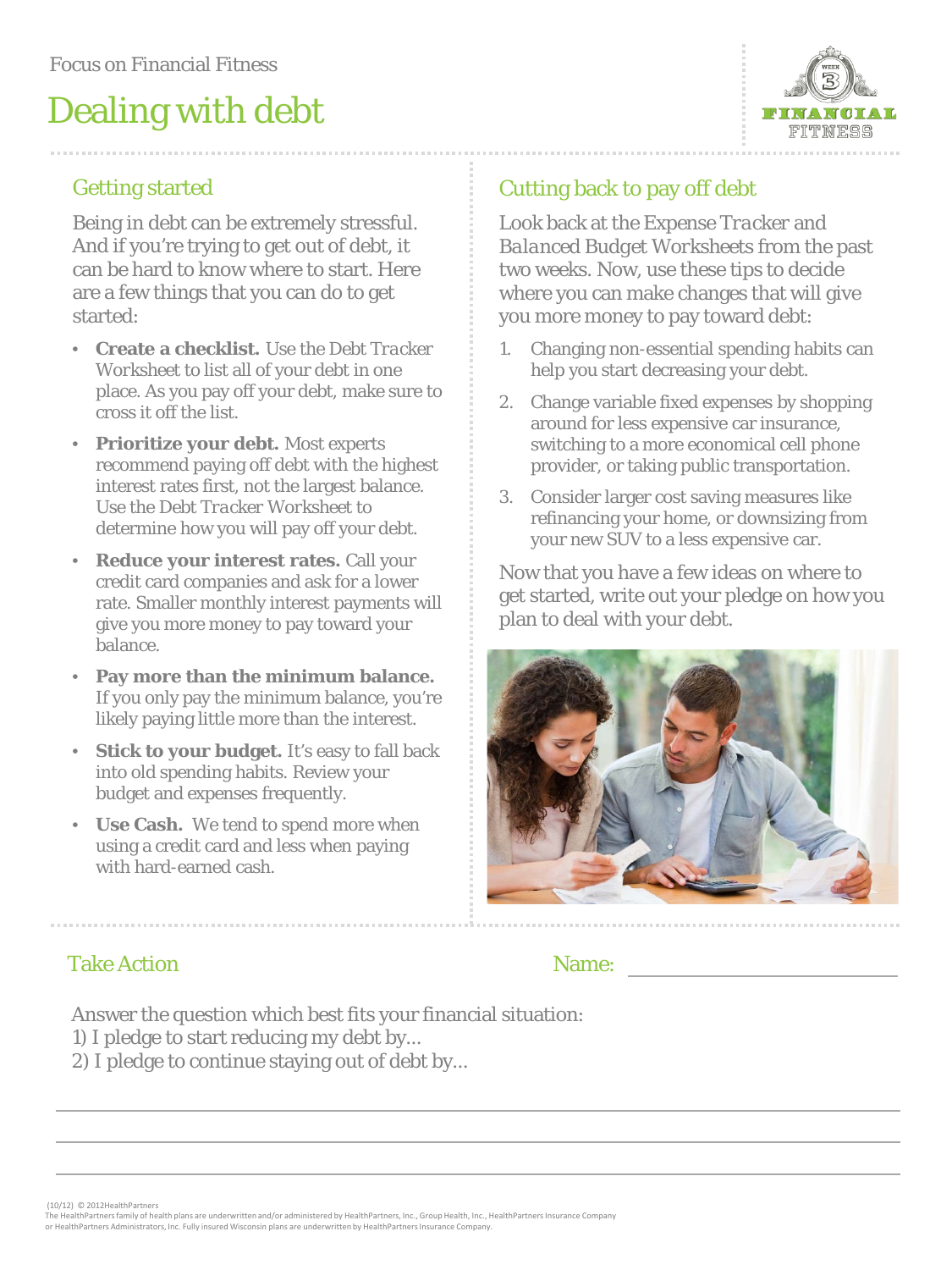# Dealing with debt



### Getting started

Being in debt can be extremely stressful. And if you're trying to get out of debt, it can be hard to know where to start. Here are a few things that you can do to get started:

- **Create a checklist.** Use the *Debt Tracker Worksheet* to list all of your debt in one place. As you pay off your debt, make sure to cross it off the list.
- **Prioritize your debt.** Most experts recommend paying off debt with the highest interest rates first, not the largest balance. Use the *Debt Tracker Worksheet* to determine how you will pay off your debt.
- **Reduce your interest rates.** Call your credit card companies and ask for a lower rate. Smaller monthly interest payments will give you more money to pay toward your balance.
- **Pay more than the minimum balance.**  If you only pay the minimum balance, you're likely paying little more than the interest.
- **Stick to your budget.** It's easy to fall back into old spending habits. Review your budget and expenses frequently.
- **Use Cash.** We tend to spend more when using a credit card and less when paying with hard-earned cash.

### Cutting back to pay off debt

Look back at the *Expense Tracker* and *Balanced Budget Worksheets* from the past two weeks. Now, use these tips to decide where you can make changes that will give you more money to pay toward debt:

- 1. Changing non-essential spending habits can help you start decreasing your debt.
- 2. Change variable fixed expenses by shopping around for less expensive car insurance, switching to a more economical cell phone provider, or taking public transportation.
- 3. Consider larger cost saving measures like refinancing your home, or downsizing from your new SUV to a less expensive car.

Now that you have a few ideas on where to get started, write out your pledge on how you plan to deal with your debt.



#### Take Action

#### Name:

Answer the question which best fits your financial situation:

- 1) I pledge to start reducing my debt by...
- 2) I pledge to continue staying out of debt by...

(10/12) © 2012HealthPartners

The HealthPartners family of health plans are underwritten and/or administered by HealthPartners, Inc., Group Health, Inc., HealthPartners Insurance Company or HealthPartners Administrators, Inc. Fully insured Wisconsin plans are underwritten by HealthPartners Insurance Company.